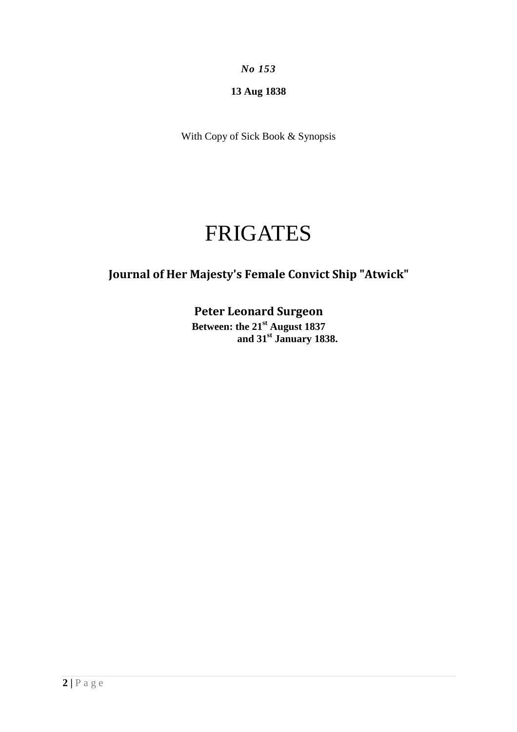*No 153* 

**13 Aug 1838** 

With Copy of Sick Book & Synopsis

## FRIGATES

## **Journal of Her Majesty's Female Convict Ship "Atwick"**

**Peter Leonard Surgeon Between: the 21st August 1837 and 31st January 1838.**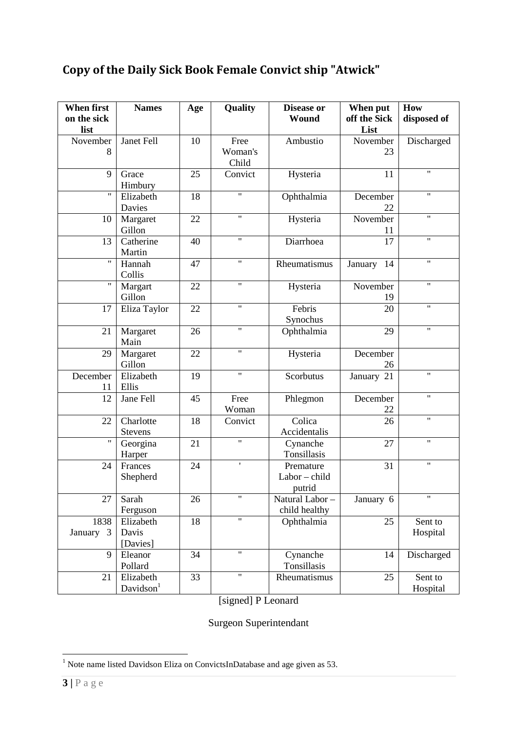## **Copy of the Daily Sick Book Female Convict ship "Atwick"**

| <b>When first</b><br>on the sick<br>list | <b>Names</b>                       | Age | Quality                  | <b>Disease or</b><br>Wound         | When put<br>off the Sick<br>List | How<br>disposed of  |
|------------------------------------------|------------------------------------|-----|--------------------------|------------------------------------|----------------------------------|---------------------|
| November<br>8                            | Janet Fell                         | 10  | Free<br>Woman's<br>Child | Ambustio                           | November<br>23                   | Discharged          |
| 9                                        | Grace<br>Himbury                   | 25  | Convict                  | Hysteria                           | 11                               | $\mathbf{H}$        |
| $\pmb{\mathsf{H}}$                       | Elizabeth<br>Davies                | 18  | $\pmb{\mathsf{H}}$       | Ophthalmia                         | December<br>22                   | $\pmb{\mathsf{H}}$  |
| 10                                       | Margaret<br>Gillon                 | 22  | $\pmb{\mathsf{H}}$       | Hysteria                           | November<br>11                   | $\mathbf{H}$        |
| 13                                       | Catherine<br>Martin                | 40  | $\pmb{\mathsf{H}}$       | Diarrhoea                          | 17                               | $\pmb{\mathsf{H}}$  |
| $\pmb{\mathsf{H}}$                       | Hannah<br>Collis                   | 47  | $\mathbf{H}$             | Rheumatismus                       | January<br>14                    | $\mathbf{H}$        |
| $\mathbf{H}$                             | Margart<br>Gillon                  | 22  | $\mathbf{H}$             | Hysteria                           | November<br>19                   | $\mathbf{H}$        |
| 17                                       | Eliza Taylor                       | 22  | $\pmb{\mathsf{H}}$       | Febris<br>Synochus                 | 20                               | 11                  |
| 21                                       | Margaret<br>Main                   | 26  | $\pmb{\mathsf{H}}$       | Ophthalmia                         | 29                               | $\mathbf{H}$        |
| 29                                       | Margaret<br>Gillon                 | 22  | $\pmb{\mathsf{H}}$       | Hysteria                           | December<br>26                   |                     |
| December<br>11                           | Elizabeth<br>Ellis                 | 19  | $\pmb{\mathsf{H}}$       | Scorbutus                          | January 21                       | $\pmb{\mathsf{H}}$  |
| 12                                       | Jane Fell                          | 45  | Free<br>Woman            | Phlegmon                           | December<br>22                   | 11                  |
| 22                                       | Charlotte<br>Stevens               | 18  | Convict                  | Colica<br>Accidentalis             | 26                               | $\mathbf{H}$        |
| $\pmb{\mathsf{H}}$                       | Georgina<br>Harper                 | 21  | $\mathbf{H}$             | Cynanche<br>Tonsillasis            | 27                               | $\mathbf{H}$        |
| 24                                       | Frances<br>Shepherd                | 24  | $\pmb{\mathsf{r}}$       | Premature<br>Labor-child<br>putrid | 31                               | $\pmb{\mathsf{H}}$  |
| 27                                       | Sarah<br>Ferguson                  | 26  | $\pmb{\mathsf{H}}$       | Natural Labor-<br>child healthy    | January 6                        | Ħ                   |
| 1838<br>January 3                        | Elizabeth<br>Davis<br>[Davies]     | 18  | $\mathbf{H}$             | Ophthalmia                         | 25                               | Sent to<br>Hospital |
| 9                                        | Eleanor<br>Pollard                 | 34  | $\pmb{\mathsf{H}}$       | Cynanche<br>Tonsillasis            | 14                               | Discharged          |
| 21                                       | Elizabeth<br>Davidson <sup>1</sup> | 33  | "                        | Rheumatismus                       | 25                               | Sent to<br>Hospital |

[signed] P Leonard

Surgeon Superintendant

<sup>&</sup>lt;sup>1</sup> Note name listed Davidson Eliza on ConvictsInDatabase and age given as 53.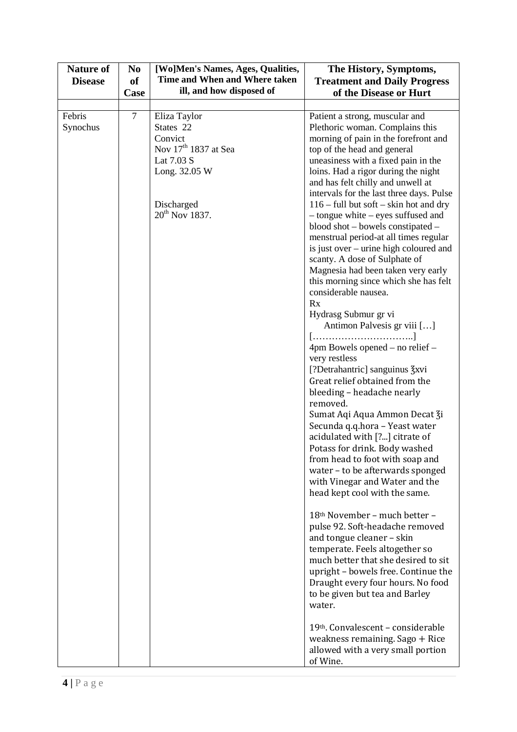| <b>Nature of</b><br><b>Disease</b> | N <sub>0</sub><br><b>of</b><br>Case | [Wo]Men's Names, Ages, Qualities,<br>Time and When and Where taken<br>ill, and how disposed of                                                      | The History, Symptoms,<br><b>Treatment and Daily Progress</b><br>of the Disease or Hurt                                                                                                                                                                                                                                                                                                                                                                                                                                                                                                                                                                                                                                                                                                                                                                                                                                                                                                                                                                                                                                                                                                                                                                                                                                                                                                                                                                                                                                                                  |
|------------------------------------|-------------------------------------|-----------------------------------------------------------------------------------------------------------------------------------------------------|----------------------------------------------------------------------------------------------------------------------------------------------------------------------------------------------------------------------------------------------------------------------------------------------------------------------------------------------------------------------------------------------------------------------------------------------------------------------------------------------------------------------------------------------------------------------------------------------------------------------------------------------------------------------------------------------------------------------------------------------------------------------------------------------------------------------------------------------------------------------------------------------------------------------------------------------------------------------------------------------------------------------------------------------------------------------------------------------------------------------------------------------------------------------------------------------------------------------------------------------------------------------------------------------------------------------------------------------------------------------------------------------------------------------------------------------------------------------------------------------------------------------------------------------------------|
|                                    |                                     |                                                                                                                                                     |                                                                                                                                                                                                                                                                                                                                                                                                                                                                                                                                                                                                                                                                                                                                                                                                                                                                                                                                                                                                                                                                                                                                                                                                                                                                                                                                                                                                                                                                                                                                                          |
| Febris<br>Synochus                 | $\tau$                              | Eliza Taylor<br>States 22<br>Convict<br>Nov 17 <sup>th</sup> 1837 at Sea<br>Lat 7.03 S<br>Long. 32.05 W<br>Discharged<br>20 <sup>th</sup> Nov 1837. | Patient a strong, muscular and<br>Plethoric woman. Complains this<br>morning of pain in the forefront and<br>top of the head and general<br>uneasiness with a fixed pain in the<br>loins. Had a rigor during the night<br>and has felt chilly and unwell at<br>intervals for the last three days. Pulse<br>$116$ – full but soft – skin hot and dry<br>- tongue white - eyes suffused and<br>blood shot – bowels constipated –<br>menstrual period-at all times regular<br>is just over – urine high coloured and<br>scanty. A dose of Sulphate of<br>Magnesia had been taken very early<br>this morning since which she has felt<br>considerable nausea.<br>Rx<br>Hydrasg Submur gr vi<br>Antimon Palvesis gr viii []<br>[]<br>4pm Bowels opened – no relief –<br>very restless<br>[?Detrahantric] sanguinus 3xvi<br>Great relief obtained from the<br>bleeding - headache nearly<br>removed.<br>Sumat Aqi Aqua Ammon Decat Zi<br>Secunda q.q.hora - Yeast water<br>acidulated with [?] citrate of<br>Potass for drink. Body washed<br>from head to foot with soap and<br>water - to be afterwards sponged<br>with Vinegar and Water and the<br>head kept cool with the same.<br>18th November - much better -<br>pulse 92. Soft-headache removed<br>and tongue cleaner - skin<br>temperate. Feels altogether so<br>much better that she desired to sit<br>upright - bowels free. Continue the<br>Draught every four hours. No food<br>to be given but tea and Barley<br>water.<br>19th. Convalescent - considerable<br>weakness remaining. Sago + Rice |
|                                    |                                     |                                                                                                                                                     | allowed with a very small portion<br>of Wine.                                                                                                                                                                                                                                                                                                                                                                                                                                                                                                                                                                                                                                                                                                                                                                                                                                                                                                                                                                                                                                                                                                                                                                                                                                                                                                                                                                                                                                                                                                            |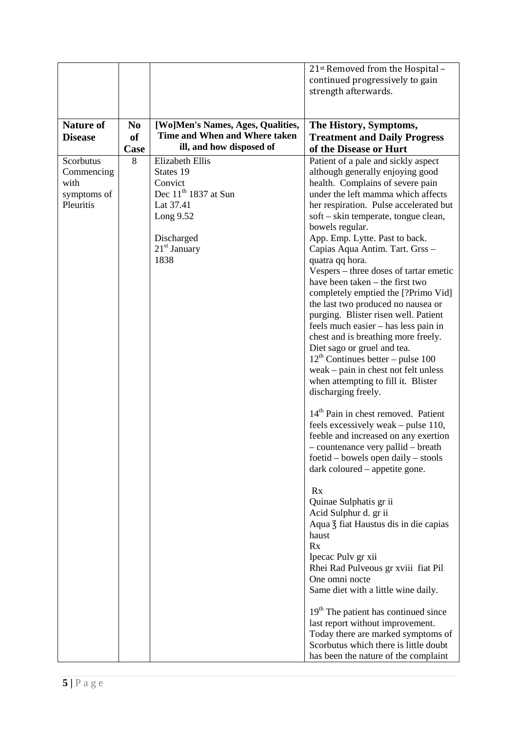|                  |                |                                   | 21 <sup>st</sup> Removed from the Hospital -      |
|------------------|----------------|-----------------------------------|---------------------------------------------------|
|                  |                |                                   | continued progressively to gain                   |
|                  |                |                                   | strength afterwards.                              |
|                  |                |                                   |                                                   |
|                  |                |                                   |                                                   |
| <b>Nature of</b> | N <sub>0</sub> | [Wo]Men's Names, Ages, Qualities, | The History, Symptoms,                            |
| <b>Disease</b>   | <b>of</b>      | Time and When and Where taken     | <b>Treatment and Daily Progress</b>               |
|                  | Case           | ill, and how disposed of          | of the Disease or Hurt                            |
| Scorbutus        | 8              | <b>Elizabeth Ellis</b>            | Patient of a pale and sickly aspect               |
| Commencing       |                | States 19                         | although generally enjoying good                  |
| with             |                | Convict                           | health. Complains of severe pain                  |
| symptoms of      |                | Dec $11th$ 1837 at Sun            | under the left mamma which affects                |
| Pleuritis        |                | Lat 37.41                         | her respiration. Pulse accelerated but            |
|                  |                | Long 9.52                         | soft – skin temperate, tongue clean,              |
|                  |                |                                   | bowels regular.                                   |
|                  |                | Discharged                        | App. Emp. Lytte. Past to back.                    |
|                  |                | $21st$ January                    | Capias Aqua Antim. Tart. Grss -                   |
|                  |                | 1838                              | quatra qq hora.                                   |
|                  |                |                                   | Vespers – three doses of tartar emetic            |
|                  |                |                                   | have been taken – the first two                   |
|                  |                |                                   | completely emptied the [?Primo Vid]               |
|                  |                |                                   | the last two produced no nausea or                |
|                  |                |                                   | purging. Blister risen well. Patient              |
|                  |                |                                   | feels much easier - has less pain in              |
|                  |                |                                   | chest and is breathing more freely.               |
|                  |                |                                   | Diet sago or gruel and tea.                       |
|                  |                |                                   | $12th$ Continues better – pulse 100               |
|                  |                |                                   | weak – pain in chest not felt unless              |
|                  |                |                                   | when attempting to fill it. Blister               |
|                  |                |                                   | discharging freely.                               |
|                  |                |                                   |                                                   |
|                  |                |                                   | 14 <sup>th</sup> Pain in chest removed. Patient   |
|                  |                |                                   | feels excessively weak – pulse 110,               |
|                  |                |                                   | feeble and increased on any exertion              |
|                  |                |                                   | - countenance very pallid - breath                |
|                  |                |                                   | foetid – bowels open daily – stools               |
|                  |                |                                   | dark coloured – appetite gone.                    |
|                  |                |                                   |                                                   |
|                  |                |                                   | Rx                                                |
|                  |                |                                   | Quinae Sulphatis gr ii                            |
|                  |                |                                   | Acid Sulphur d. gr ii                             |
|                  |                |                                   | Aqua $\frac{7}{5}$ fiat Haustus dis in die capias |
|                  |                |                                   | haust                                             |
|                  |                |                                   | Rx                                                |
|                  |                |                                   | Ipecac Pulv gr xii                                |
|                  |                |                                   | Rhei Rad Pulveous gr xviii fiat Pil               |
|                  |                |                                   | One omni nocte                                    |
|                  |                |                                   | Same diet with a little wine daily.               |
|                  |                |                                   | 19 <sup>th</sup> The patient has continued since  |
|                  |                |                                   | last report without improvement.                  |
|                  |                |                                   | Today there are marked symptoms of                |
|                  |                |                                   | Scorbutus which there is little doubt             |
|                  |                |                                   |                                                   |
|                  |                |                                   | has been the nature of the complaint              |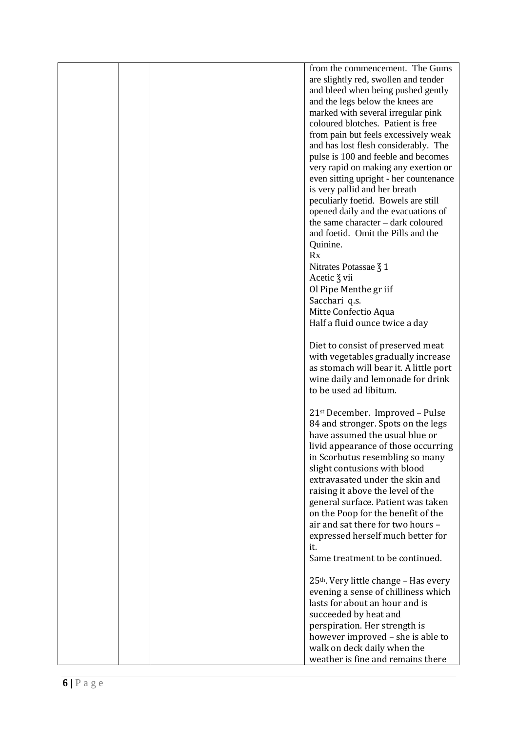|  | from the commencement. The Gums                   |
|--|---------------------------------------------------|
|  |                                                   |
|  | are slightly red, swollen and tender              |
|  | and bleed when being pushed gently                |
|  | and the legs below the knees are                  |
|  | marked with several irregular pink                |
|  | coloured blotches. Patient is free                |
|  | from pain but feels excessively weak              |
|  | and has lost flesh considerably. The              |
|  |                                                   |
|  | pulse is 100 and feeble and becomes               |
|  | very rapid on making any exertion or              |
|  | even sitting upright - her countenance            |
|  | is very pallid and her breath                     |
|  | peculiarly foetid. Bowels are still               |
|  | opened daily and the evacuations of               |
|  | the same character - dark coloured                |
|  | and foetid. Omit the Pills and the                |
|  | Quinine.                                          |
|  |                                                   |
|  | Rx                                                |
|  | Nitrates Potassae $\frac{7}{5}$ 1                 |
|  | Acetic $\frac{7}{5}$ vii                          |
|  | Ol Pipe Menthe gr iif                             |
|  | Sacchari q.s.                                     |
|  | Mitte Confectio Aqua                              |
|  | Half a fluid ounce twice a day                    |
|  |                                                   |
|  |                                                   |
|  | Diet to consist of preserved meat                 |
|  | with vegetables gradually increase                |
|  | as stomach will bear it. A little port            |
|  | wine daily and lemonade for drink                 |
|  | to be used ad libitum.                            |
|  |                                                   |
|  | 21 <sup>st</sup> December. Improved - Pulse       |
|  | 84 and stronger. Spots on the legs                |
|  | have assumed the usual blue or                    |
|  |                                                   |
|  | livid appearance of those occurring               |
|  | in Scorbutus resembling so many                   |
|  | slight contusions with blood                      |
|  | extravasated under the skin and                   |
|  | raising it above the level of the                 |
|  | general surface. Patient was taken                |
|  | on the Poop for the benefit of the                |
|  | air and sat there for two hours -                 |
|  |                                                   |
|  | expressed herself much better for                 |
|  | it.                                               |
|  | Same treatment to be continued.                   |
|  |                                                   |
|  | 25 <sup>th</sup> . Very little change - Has every |
|  | evening a sense of chilliness which               |
|  | lasts for about an hour and is                    |
|  | succeeded by heat and                             |
|  |                                                   |
|  | perspiration. Her strength is                     |
|  | however improved - she is able to                 |
|  | walk on deck daily when the                       |
|  | weather is fine and remains there                 |